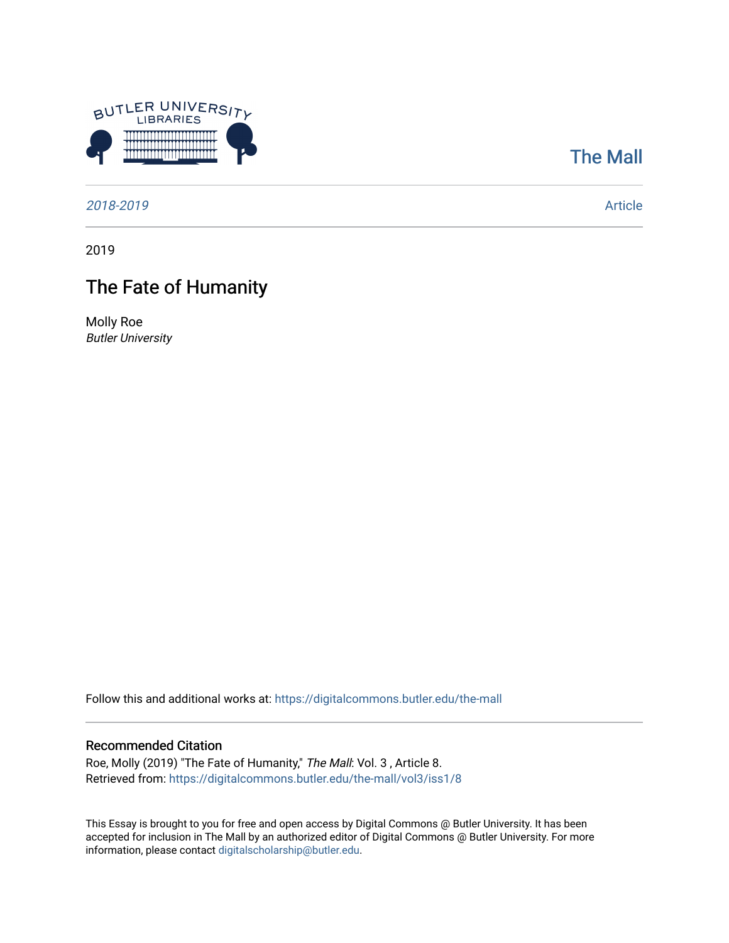

## [The Mall](https://digitalcommons.butler.edu/the-mall)

[2018-2019](https://digitalcommons.butler.edu/the-mall/vol3?) [Article](https://digitalcommons.butler.edu/the-mall/vol3/iss1/8?) 

2019

## The Fate of Humanity

Molly Roe Butler University

Follow this and additional works at: [https://digitalcommons.butler.edu/the-mall](https://digitalcommons.butler.edu/the-mall?utm_source=digitalcommons.butler.edu%2Fthe-mall%2Fvol3%2Fiss1%2F8&utm_medium=PDF&utm_campaign=PDFCoverPages) 

## Recommended Citation

Roe, Molly (2019) "The Fate of Humanity," The Mall: Vol. 3 , Article 8. Retrieved from: [https://digitalcommons.butler.edu/the-mall/vol3/iss1/8](https://digitalcommons.butler.edu/the-mall/vol3/iss1/8?utm_source=digitalcommons.butler.edu%2Fthe-mall%2Fvol3%2Fiss1%2F8&utm_medium=PDF&utm_campaign=PDFCoverPages) 

This Essay is brought to you for free and open access by Digital Commons @ Butler University. It has been accepted for inclusion in The Mall by an authorized editor of Digital Commons @ Butler University. For more information, please contact [digitalscholarship@butler.edu](mailto:digitalscholarship@butler.edu).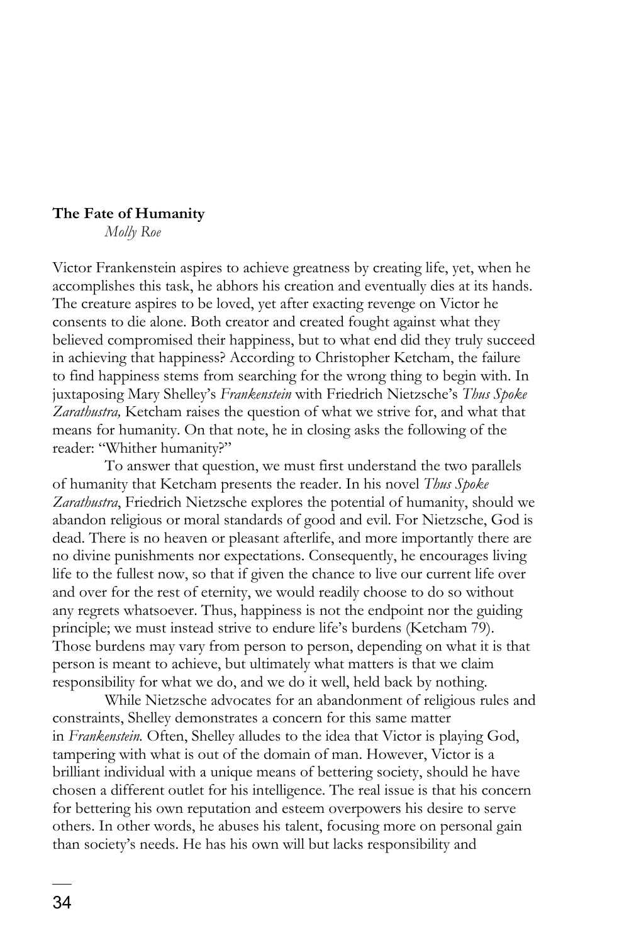## **The Fate of Humanity**

*Molly Roe*

Victor Frankenstein aspires to achieve greatness by creating life, yet, when he accomplishes this task, he abhors his creation and eventually dies at its hands. The creature aspires to be loved, yet after exacting revenge on Victor he consents to die alone. Both creator and created fought against what they believed compromised their happiness, but to what end did they truly succeed in achieving that happiness? According to Christopher Ketcham, the failure to find happiness stems from searching for the wrong thing to begin with. In juxtaposing Mary Shelley's *Frankenstein* with Friedrich Nietzsche's *Thus Spoke Zarathustra,* Ketcham raises the question of what we strive for, and what that means for humanity. On that note, he in closing asks the following of the reader: "Whither humanity?"

To answer that question, we must first understand the two parallels of humanity that Ketcham presents the reader. In his novel *Thus Spoke Zarathustra*, Friedrich Nietzsche explores the potential of humanity, should we abandon religious or moral standards of good and evil. For Nietzsche, God is dead. There is no heaven or pleasant afterlife, and more importantly there are no divine punishments nor expectations. Consequently, he encourages living life to the fullest now, so that if given the chance to live our current life over and over for the rest of eternity, we would readily choose to do so without any regrets whatsoever. Thus, happiness is not the endpoint nor the guiding principle; we must instead strive to endure life's burdens (Ketcham 79). Those burdens may vary from person to person, depending on what it is that person is meant to achieve, but ultimately what matters is that we claim responsibility for what we do, and we do it well, held back by nothing.

While Nietzsche advocates for an abandonment of religious rules and constraints, Shelley demonstrates a concern for this same matter in *Frankenstein.* Often, Shelley alludes to the idea that Victor is playing God, tampering with what is out of the domain of man. However, Victor is a brilliant individual with a unique means of bettering society, should he have chosen a different outlet for his intelligence. The real issue is that his concern for bettering his own reputation and esteem overpowers his desire to serve others. In other words, he abuses his talent, focusing more on personal gain than society's needs. He has his own will but lacks responsibility and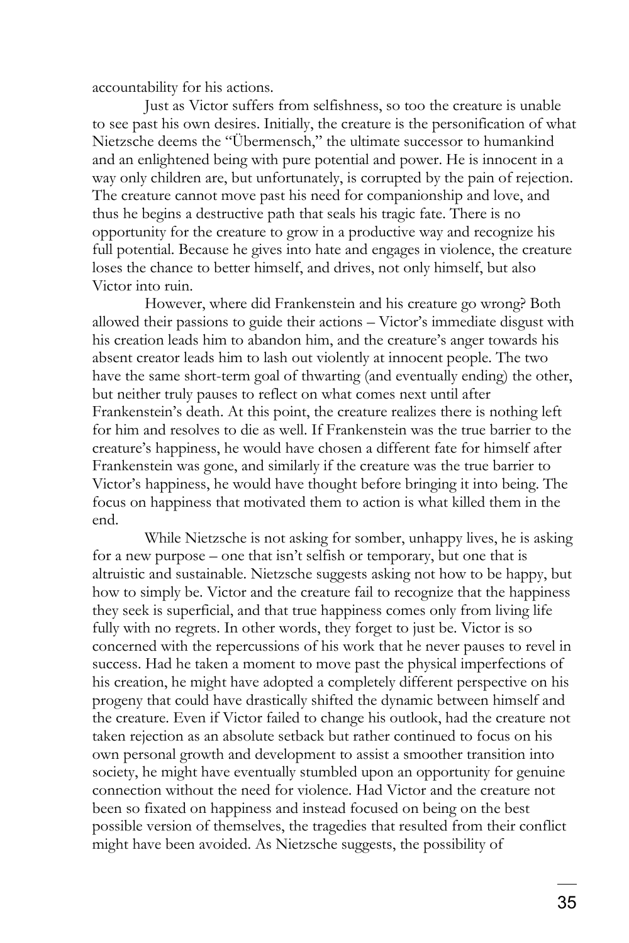accountability for his actions.

Just as Victor suffers from selfishness, so too the creature is unable to see past his own desires. Initially, the creature is the personification of what Nietzsche deems the "Übermensch," the ultimate successor to humankind and an enlightened being with pure potential and power. He is innocent in a way only children are, but unfortunately, is corrupted by the pain of rejection. The creature cannot move past his need for companionship and love, and thus he begins a destructive path that seals his tragic fate. There is no opportunity for the creature to grow in a productive way and recognize his full potential. Because he gives into hate and engages in violence, the creature loses the chance to better himself, and drives, not only himself, but also Victor into ruin.

However, where did Frankenstein and his creature go wrong? Both allowed their passions to guide their actions – Victor's immediate disgust with his creation leads him to abandon him, and the creature's anger towards his absent creator leads him to lash out violently at innocent people. The two have the same short-term goal of thwarting (and eventually ending) the other, but neither truly pauses to reflect on what comes next until after Frankenstein's death. At this point, the creature realizes there is nothing left for him and resolves to die as well. If Frankenstein was the true barrier to the creature's happiness, he would have chosen a different fate for himself after Frankenstein was gone, and similarly if the creature was the true barrier to Victor's happiness, he would have thought before bringing it into being. The focus on happiness that motivated them to action is what killed them in the end.

While Nietzsche is not asking for somber, unhappy lives, he is asking for a new purpose – one that isn't selfish or temporary, but one that is altruistic and sustainable. Nietzsche suggests asking not how to be happy, but how to simply be. Victor and the creature fail to recognize that the happiness they seek is superficial, and that true happiness comes only from living life fully with no regrets. In other words, they forget to just be. Victor is so concerned with the repercussions of his work that he never pauses to revel in success. Had he taken a moment to move past the physical imperfections of his creation, he might have adopted a completely different perspective on his progeny that could have drastically shifted the dynamic between himself and the creature. Even if Victor failed to change his outlook, had the creature not taken rejection as an absolute setback but rather continued to focus on his own personal growth and development to assist a smoother transition into society, he might have eventually stumbled upon an opportunity for genuine connection without the need for violence. Had Victor and the creature not been so fixated on happiness and instead focused on being on the best possible version of themselves, the tragedies that resulted from their conflict might have been avoided. As Nietzsche suggests, the possibility of